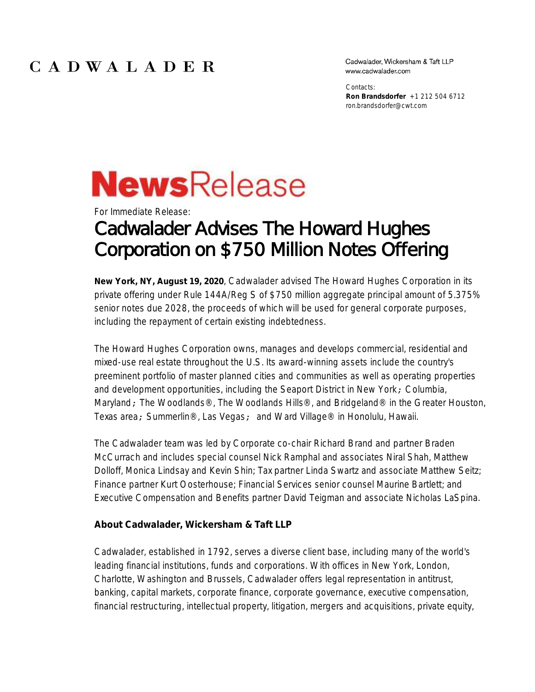## CADWALADER

Cadwalader, Wickersham & Taft LLP www.cadwalader.com

Contacts: **Ron Brandsdorfer** +1 212 504 6712 ron.brandsdorfer@cwt.com

## **News**Release

For Immediate Release:

## Cadwalader Advises The Howard Hughes Corporation on \$750 Million Notes Offering

**New York, NY, August 19, 2020**, Cadwalader advised The Howard Hughes Corporation in its private offering under Rule 144A/Reg S of \$750 million aggregate principal amount of 5.375% senior notes due 2028, the proceeds of which will be used for general corporate purposes, including the repayment of certain existing indebtedness.

The Howard Hughes Corporation owns, manages and develops commercial, residential and mixed-use real estate throughout the U.S. Its award-winning assets include the country's preeminent portfolio of master planned cities and communities as well as operating properties and development opportunities, including the Seaport District in New York; Columbia, Maryland; The Woodlands®, The Woodlands Hills®, and Bridgeland® in the Greater Houston, Texas area; Summerlin®, Las Vegas; and Ward Village® in Honolulu, Hawaii.

The Cadwalader team was led by Corporate co-chair Richard Brand and partner Braden McCurrach and includes special counsel Nick Ramphal and associates Niral Shah, Matthew Dolloff, Monica Lindsay and Kevin Shin; Tax partner Linda Swartz and associate Matthew Seitz; Finance partner Kurt Oosterhouse; Financial Services senior counsel Maurine Bartlett; and Executive Compensation and Benefits partner David Teigman and associate Nicholas LaSpina.

**About Cadwalader, Wickersham & Taft LLP**

Cadwalader, established in 1792, serves a diverse client base, including many of the world's leading financial institutions, funds and corporations. With offices in New York, London, Charlotte, Washington and Brussels, Cadwalader offers legal representation in antitrust, banking, capital markets, corporate finance, corporate governance, executive compensation, financial restructuring, intellectual property, litigation, mergers and acquisitions, private equity,